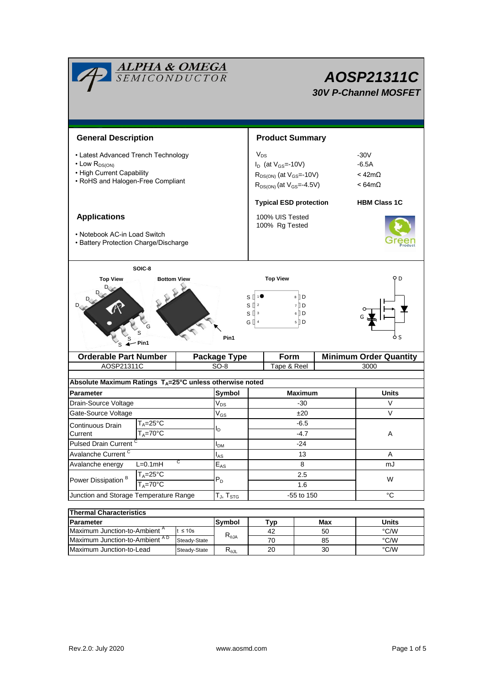| <b>ALPHA &amp; OMEGA</b><br>SEMICONDUCTOR                                                                                         |                     | AOSP21311C<br><b>30V P-Channel MOSFET</b>                                                                        |                            |                                                                                                              |                               |                                                                |                     |                               |  |  |
|-----------------------------------------------------------------------------------------------------------------------------------|---------------------|------------------------------------------------------------------------------------------------------------------|----------------------------|--------------------------------------------------------------------------------------------------------------|-------------------------------|----------------------------------------------------------------|---------------------|-------------------------------|--|--|
| <b>General Description</b>                                                                                                        |                     |                                                                                                                  | <b>Product Summary</b>     |                                                                                                              |                               |                                                                |                     |                               |  |  |
| • Latest Advanced Trench Technology<br>$\cdot$ Low $R_{DS(ON)}$<br>• High Current Capability<br>• RoHS and Halogen-Free Compliant |                     | $V_{DS}$<br>$I_D$ (at $V_{GS}$ =-10V)<br>$R_{DS(ON)}$ (at $V_{GS}$ =-10V)<br>$R_{DS(ON)}$ (at $V_{GS} = -4.5V$ ) |                            |                                                                                                              |                               | $-30V$<br>$-6.5A$<br>$<$ 42m $\Omega$<br>$< 64 \text{m}\Omega$ |                     |                               |  |  |
|                                                                                                                                   |                     |                                                                                                                  |                            |                                                                                                              | <b>Typical ESD protection</b> |                                                                | <b>HBM Class 1C</b> |                               |  |  |
| <b>Applications</b><br>• Notebook AC-in Load Switch<br>• Battery Protection Charge/Discharge                                      |                     | 100% UIS Tested<br>100% Rg Tested                                                                                |                            |                                                                                                              |                               |                                                                |                     |                               |  |  |
| SOIC-8<br><b>Top View</b><br><b>Bottom View</b><br>Pin1<br>Pin1                                                                   |                     |                                                                                                                  |                            | <b>Top View</b><br>8 D<br>s l<br>s₫<br>7 D<br>$6$ D<br>sЦ<br>$\mathbf{3}$<br>G []<br>$5$ D<br>$\overline{4}$ |                               |                                                                |                     | D                             |  |  |
| <b>Orderable Part Number</b>                                                                                                      |                     |                                                                                                                  | <b>Package Type</b>        |                                                                                                              | Form                          |                                                                |                     | <b>Minimum Order Quantity</b> |  |  |
| AOSP21311C                                                                                                                        |                     |                                                                                                                  | $SO-8$                     | Tape & Reel                                                                                                  |                               |                                                                |                     | 3000                          |  |  |
| Absolute Maximum Ratings T <sub>A</sub> =25°C unless otherwise noted                                                              |                     |                                                                                                                  |                            |                                                                                                              |                               |                                                                |                     |                               |  |  |
| <b>Parameter</b>                                                                                                                  |                     |                                                                                                                  | Symbol                     | <b>Maximum</b>                                                                                               |                               |                                                                |                     | Units                         |  |  |
| Drain-Source Voltage                                                                                                              |                     |                                                                                                                  | $V_{DS}$                   | $-30$                                                                                                        |                               |                                                                |                     | V                             |  |  |
| Gate-Source Voltage                                                                                                               |                     |                                                                                                                  | $\mathsf{V}_{\mathsf{GS}}$ | ±20                                                                                                          |                               |                                                                |                     | $\vee$                        |  |  |
| $T_{A} = 25^{\circ}C$<br>Continuous Drain                                                                                         |                     |                                                                                                                  |                            | $-6.5$<br>$-4.7$                                                                                             |                               |                                                                |                     |                               |  |  |
| $T_A = 70$ °C<br>Current                                                                                                          |                     |                                                                                                                  | $I_{\text{D}}$             |                                                                                                              |                               |                                                                |                     | A                             |  |  |
| Pulsed Drain Current <sup>C</sup>                                                                                                 |                     |                                                                                                                  | I <sub>DM</sub>            | $-24$                                                                                                        |                               |                                                                |                     |                               |  |  |
| Avalanche Current <sup>C</sup>                                                                                                    |                     |                                                                                                                  | l <sub>AS</sub>            | 13                                                                                                           |                               |                                                                |                     | $\overline{A}$                |  |  |
| С<br>Avalanche energy<br>$L=0.1mH$                                                                                                |                     |                                                                                                                  | $\mathsf{E}_{\mathsf{AS}}$ | 8                                                                                                            |                               |                                                                |                     | mJ                            |  |  |
| Power Dissipation <sup>B</sup>                                                                                                    | $T_A = 25$ °C       |                                                                                                                  | $P_D$                      | 2.5                                                                                                          |                               |                                                                | W                   |                               |  |  |
| $T_A = 70^\circ C$                                                                                                                |                     |                                                                                                                  |                            | 1.6                                                                                                          |                               |                                                                |                     |                               |  |  |
| Junction and Storage Temperature Range                                                                                            | $T_{J}$ , $T_{STG}$ | -55 to 150                                                                                                       |                            |                                                                                                              |                               | $^{\circ}C$                                                    |                     |                               |  |  |
| <b>Thermal Characteristics</b>                                                                                                    |                     |                                                                                                                  |                            |                                                                                                              |                               |                                                                |                     |                               |  |  |
| Parameter                                                                                                                         |                     |                                                                                                                  | Symbol                     |                                                                                                              | Typ                           |                                                                | Max                 | <b>Units</b>                  |  |  |
| Maximum Junction-to-Ambient A<br>$t \leq 10s$                                                                                     |                     |                                                                                                                  |                            | 42                                                                                                           |                               | 50                                                             |                     | °C/W                          |  |  |
| Maximum Junction-to-Ambient AD<br>Steady-State                                                                                    |                     |                                                                                                                  | $R_{\theta$ JA             |                                                                                                              | 70                            |                                                                | 85                  | $\degree$ C/W                 |  |  |
| Maximum Junction-to-Lead<br>Steady-State                                                                                          |                     |                                                                                                                  | $R_{\theta JL}$            |                                                                                                              | 20                            |                                                                | 30                  | °C/W                          |  |  |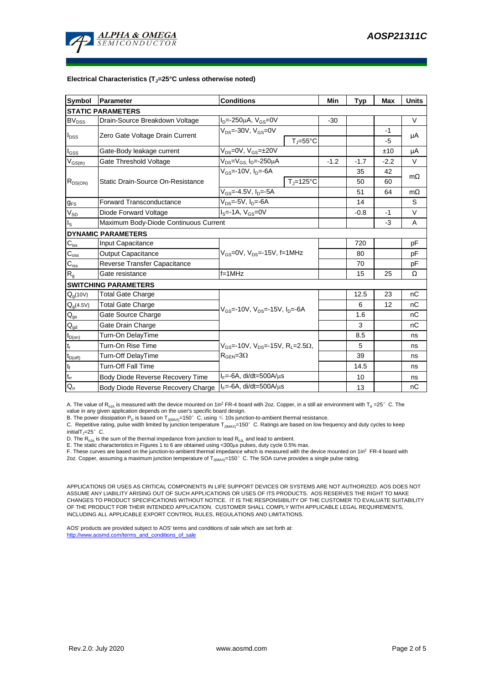

#### **Electrical Characteristics (TJ=25°C unless otherwise noted)**

| <b>Symbol</b>               | <b>Parameter</b>                                                     | <b>Conditions</b>                                              | Min    | <b>Typ</b> | <b>Max</b> | <b>Units</b> |  |  |  |  |  |  |  |
|-----------------------------|----------------------------------------------------------------------|----------------------------------------------------------------|--------|------------|------------|--------------|--|--|--|--|--|--|--|
| <b>STATIC PARAMETERS</b>    |                                                                      |                                                                |        |            |            |              |  |  |  |  |  |  |  |
| <b>BV</b> <sub>DSS</sub>    | $I_D = -250 \mu A$ , $V_{GS} = 0V$<br>Drain-Source Breakdown Voltage |                                                                |        |            |            | V            |  |  |  |  |  |  |  |
| $I_{\text{DSS}}$            | Zero Gate Voltage Drain Current                                      | $V_{DS}$ =-30V, $V_{GS}$ =0V                                   |        |            | $-1$       |              |  |  |  |  |  |  |  |
|                             |                                                                      | $T_{\rm J}$ =55°C                                              |        |            | $-5$       | μA           |  |  |  |  |  |  |  |
| $I_{GSS}$                   | Gate-Body leakage current                                            | $V_{DS} = 0V$ , $V_{GS} = \pm 20V$                             |        |            | ±10        | μA           |  |  |  |  |  |  |  |
| $V_{GS(th)}$                | Gate Threshold Voltage                                               | V <sub>DS</sub> =V <sub>GS.</sub> I <sub>D</sub> =-250µA       | $-1.2$ | $-1.7$     | $-2.2$     | V            |  |  |  |  |  |  |  |
| $R_{DS(ON)}$                |                                                                      | $V_{\text{GS}}$ =-10V, $I_{\text{D}}$ =-6A                     |        | 35         | 42         | $m\Omega$    |  |  |  |  |  |  |  |
|                             | Static Drain-Source On-Resistance                                    | $T_J = 125$ °C                                                 |        | 50         | 60         |              |  |  |  |  |  |  |  |
|                             |                                                                      | $V_{GS} = -4.5V$ , $I_D = -5A$                                 |        | 51         | 64         | $m\Omega$    |  |  |  |  |  |  |  |
| $g_{FS}$                    | <b>Forward Transconductance</b>                                      |                                                                | 14     |            | S          |              |  |  |  |  |  |  |  |
| $\rm V_{\rm SD}$            | Diode Forward Voltage                                                | $I_S = -1A$ , $V_{GS} = 0V$                                    |        |            |            | V            |  |  |  |  |  |  |  |
| $\mathsf{I}_\mathsf{S}$     | Maximum Body-Diode Continuous Current                                |                                                                |        | $-3$       | A          |              |  |  |  |  |  |  |  |
|                             | <b>DYNAMIC PARAMETERS</b>                                            |                                                                |        |            |            |              |  |  |  |  |  |  |  |
| $\mathbf{C}_{\mathsf{iss}}$ | Input Capacitance                                                    |                                                                |        | 720        |            | рF           |  |  |  |  |  |  |  |
| $C_{\rm oss}$               | <b>Output Capacitance</b>                                            | $V_{GS}$ =0V, $V_{DS}$ =-15V, f=1MHz                           |        | 80         |            | рF           |  |  |  |  |  |  |  |
| $\mathbf{C}_{\text{rss}}$   | Reverse Transfer Capacitance                                         |                                                                |        | 70         |            | рF           |  |  |  |  |  |  |  |
| $R_{g}$                     | Gate resistance                                                      | $f = 1$ MHz                                                    |        | 15         | 25         | Ω            |  |  |  |  |  |  |  |
|                             | <b>SWITCHING PARAMETERS</b>                                          |                                                                |        |            |            |              |  |  |  |  |  |  |  |
| $Q_q(10V)$                  | <b>Total Gate Charge</b>                                             |                                                                |        | 12.5       | 23         | nC           |  |  |  |  |  |  |  |
| $Q_g(4.5V)$                 | Total Gate Charge                                                    | $V_{GS}$ =-10V, $V_{DS}$ =-15V, $I_{D}$ =-6A                   |        | 6          | 12         | nC           |  |  |  |  |  |  |  |
| $\mathbf{Q}_\text{gs}$      | Gate Source Charge                                                   |                                                                |        | 1.6        |            | nC           |  |  |  |  |  |  |  |
| $Q_{gd}$                    | Gate Drain Charge                                                    |                                                                |        | 3          |            | пC           |  |  |  |  |  |  |  |
| $t_{D(0n)}$                 | Turn-On DelayTime                                                    |                                                                |        | 8.5        |            | ns           |  |  |  |  |  |  |  |
| $t_r$                       | Turn-On Rise Time                                                    | $V_{GS}$ =-10V, $V_{DS}$ =-15V, R <sub>1</sub> =2.5 $\Omega$ , |        | 5          |            | ns           |  |  |  |  |  |  |  |
| $t_{D(off)}$                | Turn-Off DelayTime                                                   | $R_{\text{GEN}} = 3\Omega$                                     |        | 39         |            | ns           |  |  |  |  |  |  |  |
| $\mathsf{t}_{\mathsf{f}}$   | Turn-Off Fall Time                                                   |                                                                |        | 14.5       |            | ns           |  |  |  |  |  |  |  |
| $\mathfrak{t}_{\text{rr}}$  | Body Diode Reverse Recovery Time                                     | $I_F = -6A$ , di/dt=500A/ $\mu$ s                              |        | 10         |            | ns           |  |  |  |  |  |  |  |
| $Q_{rr}$                    | Body Diode Reverse Recovery Charge                                   | $I_F = -6A$ , di/dt=500A/ $\mu$ s                              |        | 13         |            | nC           |  |  |  |  |  |  |  |

A. The value of  $R_{qJA}$  is measured with the device mounted on 1in<sup>2</sup> FR-4 board with 2oz. Copper, in a still air environment with T<sub>A</sub> =25° C. The value in any given application depends on the user's specific board design.

B. The power dissipation  ${\sf P}_{\sf D}$  is based on  ${\sf T}_{\sf J(MAX)}$ =150 $^\circ\,$  C, using  $\leqslant$  10s junction-to-ambient thermal resistance.

C. Repetitive rating, pulse width limited by junction temperature T $_{\rm J(MAX)}$ =150°C. Ratings are based on low frequency and duty cycles to keep

 $initialT = 25^\circ$  C.

D. The R<sub>eJA</sub> is the sum of the thermal impedance from junction to lead R<sub>eJL</sub> and lead to ambient.<br>E. The static characteristics in Figures 1 to 6 are obtained using <300µs pulses, duty cycle 0.5% max.<br>F. These curves ar 2oz. Copper, assuming a maximum junction temperature of T<sub>J(MAX)</sub>=150°C. The SOA curve provides a single pulse rating.

APPLICATIONS OR USES AS CRITICAL COMPONENTS IN LIFE SUPPORT DEVICES OR SYSTEMS ARE NOT AUTHORIZED. AOS DOES NOT ASSUME ANY LIABILITY ARISING OUT OF SUCH APPLICATIONS OR USES OF ITS PRODUCTS. AOS RESERVES THE RIGHT TO MAKE CHANGES TO PRODUCT SPECIFICATIONS WITHOUT NOTICE. IT IS THE RESPONSIBILITY OF THE CUSTOMER TO EVALUATE SUITABILITY OF THE PRODUCT FOR THEIR INTENDED APPLICATION. CUSTOMER SHALL COMPLY WITH APPLICABLE LEGAL REQUIREMENTS, INCLUDING ALL APPLICABLE EXPORT CONTROL RULES, REGULATIONS AND LIMITATIONS.

AOS' products are provided subject to AOS' terms and conditions of sale which are set forth at: http://www.aosmd.com/terms\_and\_conditions\_of\_sale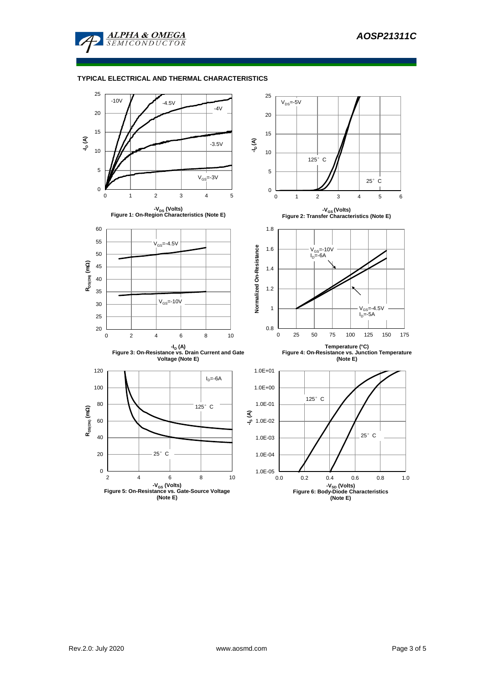

## **TYPICAL ELECTRICAL AND THERMAL CHARACTERISTICS**

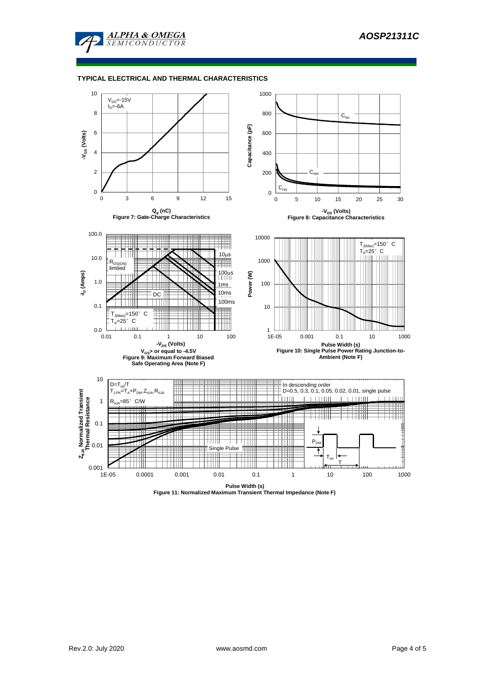

#### **TYPICAL ELECTRICAL AND THERMAL CHARACTERISTICS**